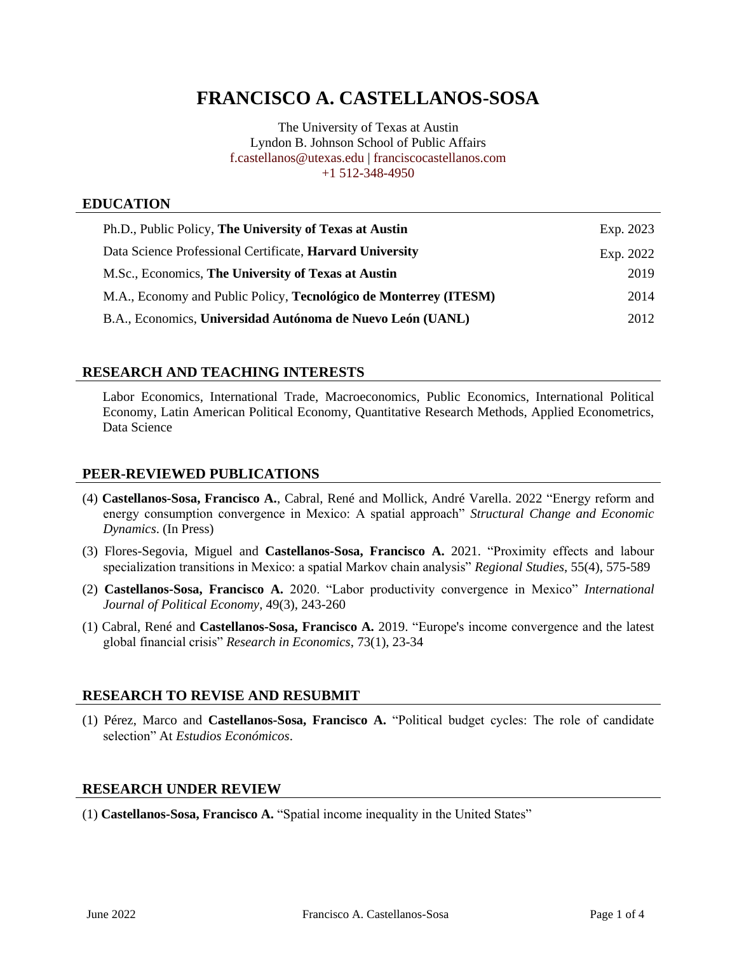# **FRANCISCO A. CASTELLANOS-SOSA**

The University of Texas at Austin Lyndon B. Johnson School of Public Affairs [f.castellanos@utexas.edu](mailto:f.castellanos@utexas.edu) | [franciscocastellanos.com](https://franciscocastellanos.com/) +1 512-348-4950

### **EDUCATION**

| Ph.D., Public Policy, The University of Texas at Austin                  | Exp. 2023 |
|--------------------------------------------------------------------------|-----------|
| Data Science Professional Certificate, Harvard University                | Exp. 2022 |
| M.Sc., Economics, The University of Texas at Austin                      | 2019      |
| M.A., Economy and Public Policy, <b>Tecnológico de Monterrey (ITESM)</b> | 2014      |
| B.A., Economics, Universidad Autónoma de Nuevo León (UANL)               | 2012      |

### **RESEARCH AND TEACHING INTERESTS**

Labor Economics, International Trade, Macroeconomics, Public Economics, International Political Economy, Latin American Political Economy, Quantitative Research Methods, Applied Econometrics, Data Science

### **PEER-REVIEWED PUBLICATIONS**

- (4) **Castellanos-Sosa, Francisco A.**[, Cabral, René and Mollick, André Varella.](https://doi.org/10.1016/j.strueco.2022.03.007) 2022 "Energy reform and [energy consumption convergence in Mexico: A spatial approach"](https://doi.org/10.1016/j.strueco.2022.03.007) *Structural Change and Economic [Dynamics](https://doi.org/10.1016/j.strueco.2022.03.007)*. (In Press)
- (3) Flores-Segovia, Miguel and **Castellanos-Sosa, Francisco A.** [2021. "Proximity effects and labour](https://doi.org/10.1080/00343404.2020.1836342)  [specialization transitions in Mexico: a spatial Markov chain analysis"](https://doi.org/10.1080/00343404.2020.1836342) *Regional Studies*, 55(4), 575-589
- (2) **Castellanos-Sosa, Francisco A.** [2020. "Labor productivity convergence in Mexico"](https://doi.org/10.1080/08911916.2020.1824733) *International [Journal of Political Economy](https://doi.org/10.1080/08911916.2020.1824733)*, 49(3), 243-260
- (1) Cabral, René and **Castellanos-Sosa, Francisco A.** [2019. "Europe's income convergence and the latest](https://doi.org/10.1016/j.rie.2019.01.003)  global financial crisis" *[Research in Economics](https://doi.org/10.1016/j.rie.2019.01.003)*, 73(1), 23-34

### **RESEARCH TO REVISE AND RESUBMIT**

(1) Pérez, Marco and **Castellanos-Sosa, Francisco A.** "Political budget cycles: The role of candidate selection" At *Estudios Económicos*.

# **RESEARCH UNDER REVIEW**

(1) **Castellanos-Sosa, Francisco A.** "Spatial income inequality in the United States"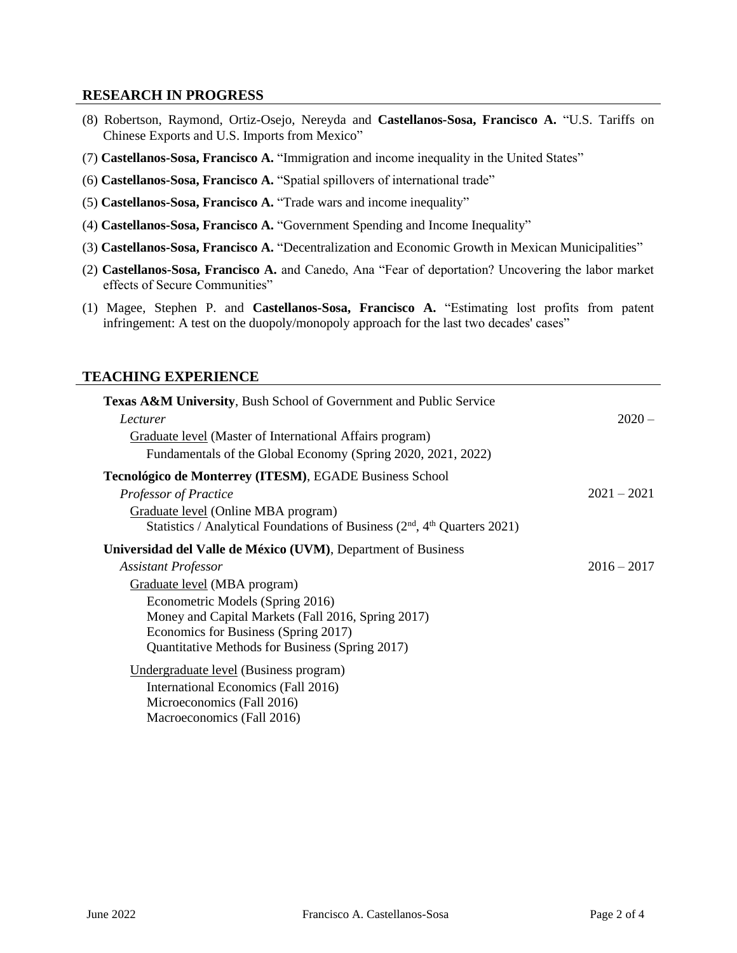## **RESEARCH IN PROGRESS**

- (8) Robertson, Raymond, Ortiz-Osejo, Nereyda and **Castellanos-Sosa, Francisco A.** "U.S. Tariffs on Chinese Exports and U.S. Imports from Mexico"
- (7) **Castellanos-Sosa, Francisco A.** "Immigration and income inequality in the United States"
- (6) **Castellanos-Sosa, Francisco A.** "Spatial spillovers of international trade"
- (5) **Castellanos-Sosa, Francisco A.** "Trade wars and income inequality"
- (4) **Castellanos-Sosa, Francisco A.** "Government Spending and Income Inequality"
- (3) **Castellanos-Sosa, Francisco A.** "Decentralization and Economic Growth in Mexican Municipalities"
- (2) **Castellanos-Sosa, Francisco A.** and Canedo, Ana "Fear of deportation? Uncovering the labor market effects of Secure Communities"
- (1) Magee, Stephen P. and **Castellanos-Sosa, Francisco A.** "Estimating lost profits from patent infringement: A test on the duopoly/monopoly approach for the last two decades' cases"

### **TEACHING EXPERIENCE**

| <b>Texas A&amp;M University, Bush School of Government and Public Service</b> |               |
|-------------------------------------------------------------------------------|---------------|
| Lecturer                                                                      | $2020 -$      |
| Graduate level (Master of International Affairs program)                      |               |
| Fundamentals of the Global Economy (Spring 2020, 2021, 2022)                  |               |
| Tecnológico de Monterrey (ITESM), EGADE Business School                       |               |
| Professor of Practice                                                         | $2021 - 2021$ |
| Graduate level (Online MBA program)                                           |               |
| Statistics / Analytical Foundations of Business $(2nd, 4th Quarters 2021)$    |               |
| Universidad del Valle de México (UVM), Department of Business                 |               |
| <b>Assistant Professor</b>                                                    | $2016 - 2017$ |
| Graduate level (MBA program)                                                  |               |
| Econometric Models (Spring 2016)                                              |               |
| Money and Capital Markets (Fall 2016, Spring 2017)                            |               |
| Economics for Business (Spring 2017)                                          |               |
| Quantitative Methods for Business (Spring 2017)                               |               |
| Undergraduate level (Business program)                                        |               |
| International Economics (Fall 2016)                                           |               |
| Microeconomics (Fall 2016)                                                    |               |
| Macroeconomics (Fall 2016)                                                    |               |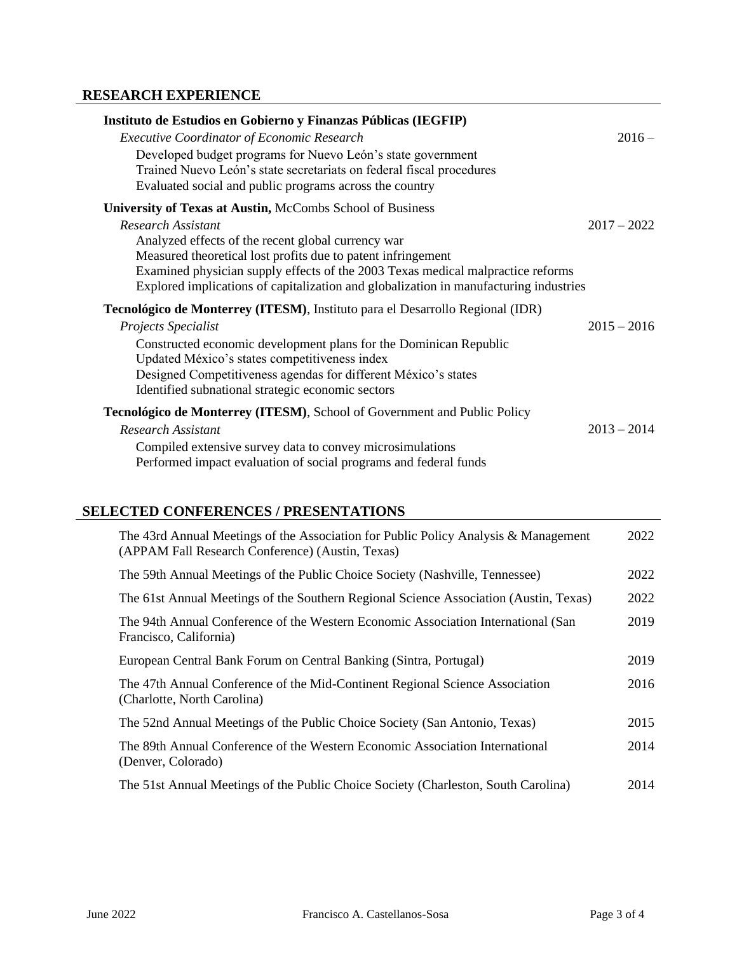# **RESEARCH EXPERIENCE**

| Instituto de Estudios en Gobierno y Finanzas Públicas (IEGFIP)                                                                                                                                 |               |
|------------------------------------------------------------------------------------------------------------------------------------------------------------------------------------------------|---------------|
| <b>Executive Coordinator of Economic Research</b>                                                                                                                                              | $2016 -$      |
| Developed budget programs for Nuevo León's state government<br>Trained Nuevo León's state secretariats on federal fiscal procedures<br>Evaluated social and public programs across the country |               |
| University of Texas at Austin, McCombs School of Business                                                                                                                                      |               |
| Research Assistant                                                                                                                                                                             | $2017 - 2022$ |
| Analyzed effects of the recent global currency war                                                                                                                                             |               |
| Measured theoretical lost profits due to patent infringement                                                                                                                                   |               |
| Examined physician supply effects of the 2003 Texas medical malpractice reforms<br>Explored implications of capitalization and globalization in manufacturing industries                       |               |
|                                                                                                                                                                                                |               |
| Tecnológico de Monterrey (ITESM), Instituto para el Desarrollo Regional (IDR)                                                                                                                  |               |
| Projects Specialist                                                                                                                                                                            | $2015 - 2016$ |
| Constructed economic development plans for the Dominican Republic<br>Updated México's states competitiveness index                                                                             |               |
| Designed Competitiveness agendas for different México's states                                                                                                                                 |               |
| Identified subnational strategic economic sectors                                                                                                                                              |               |
| <b>Tecnológico de Monterrey (ITESM), School of Government and Public Policy</b>                                                                                                                |               |
| <b>Research Assistant</b>                                                                                                                                                                      | $2013 - 2014$ |
| Compiled extensive survey data to convey microsimulations                                                                                                                                      |               |
| Performed impact evaluation of social programs and federal funds                                                                                                                               |               |

# **SELECTED CONFERENCES / PRESENTATIONS**

| The 43rd Annual Meetings of the Association for Public Policy Analysis & Management<br>(APPAM Fall Research Conference) (Austin, Texas) | 2022 |
|-----------------------------------------------------------------------------------------------------------------------------------------|------|
| The 59th Annual Meetings of the Public Choice Society (Nashville, Tennessee)                                                            | 2022 |
| The 61st Annual Meetings of the Southern Regional Science Association (Austin, Texas)                                                   | 2022 |
| The 94th Annual Conference of the Western Economic Association International (San<br>Francisco, California)                             | 2019 |
| European Central Bank Forum on Central Banking (Sintra, Portugal)                                                                       | 2019 |
| The 47th Annual Conference of the Mid-Continent Regional Science Association<br>(Charlotte, North Carolina)                             | 2016 |
| The 52nd Annual Meetings of the Public Choice Society (San Antonio, Texas)                                                              | 2015 |
| The 89th Annual Conference of the Western Economic Association International<br>(Denver, Colorado)                                      | 2014 |
| The 51st Annual Meetings of the Public Choice Society (Charleston, South Carolina)                                                      | 2014 |